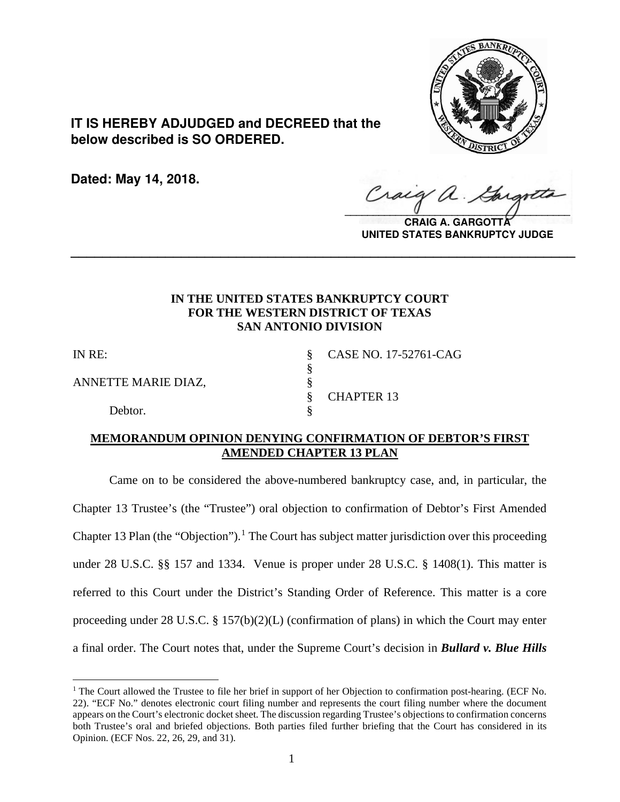

**IT IS HEREBY ADJUDGED and DECREED that the below described is SO ORDERED.**

**Dated: May 14, 2018.**

Craig  $\sqrt{2}$ 

**CRAIG A. GARGOTT UNITED STATES BANKRUPTCY JUDGE**

# **IN THE UNITED STATES BANKRUPTCY COURT FOR THE WESTERN DISTRICT OF TEXAS SAN ANTONIO DIVISION**

**\_\_\_\_\_\_\_\_\_\_\_\_\_\_\_\_\_\_\_\_\_\_\_\_\_\_\_\_\_\_\_\_\_\_\_\_\_\_\_\_\_\_\_\_\_\_\_\_\_\_\_\_\_\_\_\_\_\_\_\_\_\_\_\_**

§

 $\overline{a}$ 

ANNETTE MARIE DIAZ,<br>§

Debtor.

IN RE: § CASE NO. 17-52761-CAG § CHAPTER 13

## **MEMORANDUM OPINION DENYING CONFIRMATION OF DEBTOR'S FIRST AMENDED CHAPTER 13 PLAN**

Came on to be considered the above-numbered bankruptcy case, and, in particular, the Chapter 13 Trustee's (the "Trustee") oral objection to confirmation of Debtor's First Amended Chapter [1](#page-0-0)3 Plan (the "Objection").<sup>1</sup> The Court has subject matter jurisdiction over this proceeding under 28 U.S.C. §§ 157 and 1334. Venue is proper under 28 U.S.C. § 1408(1). This matter is referred to this Court under the District's Standing Order of Reference. This matter is a core proceeding under 28 U.S.C. § 157(b)(2)(L) (confirmation of plans) in which the Court may enter a final order. The Court notes that, under the Supreme Court's decision in *Bullard v. Blue Hills*

<span id="page-0-0"></span><sup>&</sup>lt;sup>1</sup> The Court allowed the Trustee to file her brief in support of her Objection to confirmation post-hearing. (ECF No. 22). "ECF No." denotes electronic court filing number and represents the court filing number where the document appears on the Court's electronic docket sheet. The discussion regarding Trustee's objections to confirmation concerns both Trustee's oral and briefed objections. Both parties filed further briefing that the Court has considered in its Opinion. (ECF Nos. 22, 26, 29, and 31).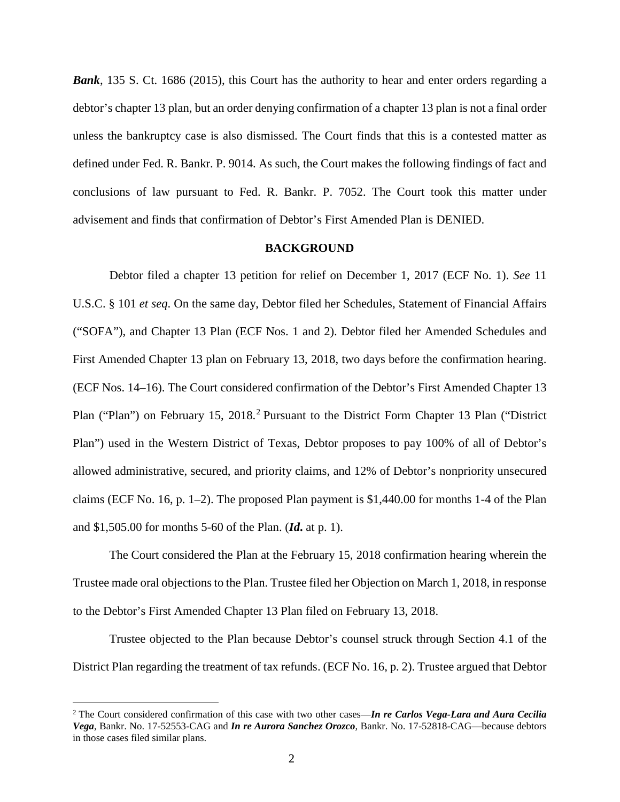*Bank*, 135 S. Ct. 1686 (2015), this Court has the authority to hear and enter orders regarding a debtor's chapter 13 plan, but an order denying confirmation of a chapter 13 plan is not a final order unless the bankruptcy case is also dismissed. The Court finds that this is a contested matter as defined under Fed. R. Bankr. P. 9014. As such, the Court makes the following findings of fact and conclusions of law pursuant to Fed. R. Bankr. P. 7052. The Court took this matter under advisement and finds that confirmation of Debtor's First Amended Plan is DENIED.

### **BACKGROUND**

Debtor filed a chapter 13 petition for relief on December 1, 2017 (ECF No. 1). *See* 11 U.S.C. § 101 *et seq*. On the same day, Debtor filed her Schedules, Statement of Financial Affairs ("SOFA"), and Chapter 13 Plan (ECF Nos. 1 and 2). Debtor filed her Amended Schedules and First Amended Chapter 13 plan on February 13, 2018, two days before the confirmation hearing. (ECF Nos. 14–16). The Court considered confirmation of the Debtor's First Amended Chapter 13 Plan ("Plan") on February 15, [2](#page-1-0)018.<sup>2</sup> Pursuant to the District Form Chapter 13 Plan ("District Plan") used in the Western District of Texas, Debtor proposes to pay 100% of all of Debtor's allowed administrative, secured, and priority claims, and 12% of Debtor's nonpriority unsecured claims (ECF No. 16, p. 1–2). The proposed Plan payment is \$1,440.00 for months 1-4 of the Plan and \$1,505.00 for months 5-60 of the Plan. (*Id***.** at p. 1).

The Court considered the Plan at the February 15, 2018 confirmation hearing wherein the Trustee made oral objections to the Plan. Trustee filed her Objection on March 1, 2018, in response to the Debtor's First Amended Chapter 13 Plan filed on February 13, 2018.

Trustee objected to the Plan because Debtor's counsel struck through Section 4.1 of the District Plan regarding the treatment of tax refunds. (ECF No. 16, p. 2). Trustee argued that Debtor

<span id="page-1-0"></span> <sup>2</sup> The Court considered confirmation of this case with two other cases—*In re Carlos Vega-Lara and Aura Cecilia Vega*, Bankr. No. 17-52553-CAG and *In re Aurora Sanchez Orozco*, Bankr. No. 17-52818-CAG—because debtors in those cases filed similar plans.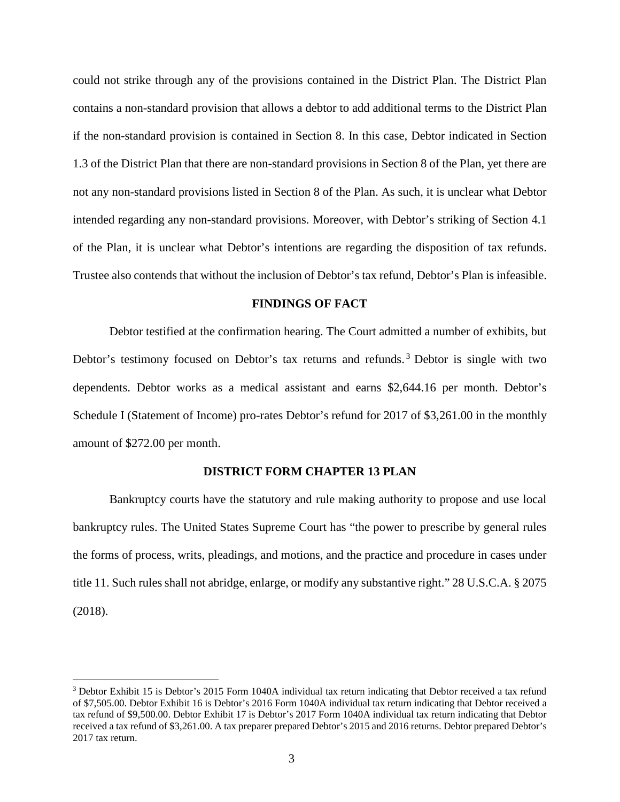could not strike through any of the provisions contained in the District Plan. The District Plan contains a non-standard provision that allows a debtor to add additional terms to the District Plan if the non-standard provision is contained in Section 8. In this case, Debtor indicated in Section 1.3 of the District Plan that there are non-standard provisions in Section 8 of the Plan, yet there are not any non-standard provisions listed in Section 8 of the Plan. As such, it is unclear what Debtor intended regarding any non-standard provisions. Moreover, with Debtor's striking of Section 4.1 of the Plan, it is unclear what Debtor's intentions are regarding the disposition of tax refunds. Trustee also contends that without the inclusion of Debtor's tax refund, Debtor's Plan is infeasible.

## **FINDINGS OF FACT**

Debtor testified at the confirmation hearing. The Court admitted a number of exhibits, but Debtor's testimony focused on Debtor's tax returns and refunds.<sup>[3](#page-2-0)</sup> Debtor is single with two dependents. Debtor works as a medical assistant and earns \$2,644.16 per month. Debtor's Schedule I (Statement of Income) pro-rates Debtor's refund for 2017 of \$3,261.00 in the monthly amount of \$272.00 per month.

### **DISTRICT FORM CHAPTER 13 PLAN**

Bankruptcy courts have the statutory and rule making authority to propose and use local bankruptcy rules. The United States Supreme Court has "the power to prescribe by general rules the forms of process, writs, pleadings, and motions, and the practice and procedure in cases under title 11. Such rules shall not abridge, enlarge, or modify any substantive right." 28 U.S.C.A. § 2075 (2018).

<span id="page-2-0"></span><sup>&</sup>lt;sup>3</sup> Debtor Exhibit 15 is Debtor's 2015 Form 1040A individual tax return indicating that Debtor received a tax refund of \$7,505.00. Debtor Exhibit 16 is Debtor's 2016 Form 1040A individual tax return indicating that Debtor received a tax refund of \$9,500.00. Debtor Exhibit 17 is Debtor's 2017 Form 1040A individual tax return indicating that Debtor received a tax refund of \$3,261.00. A tax preparer prepared Debtor's 2015 and 2016 returns. Debtor prepared Debtor's 2017 tax return.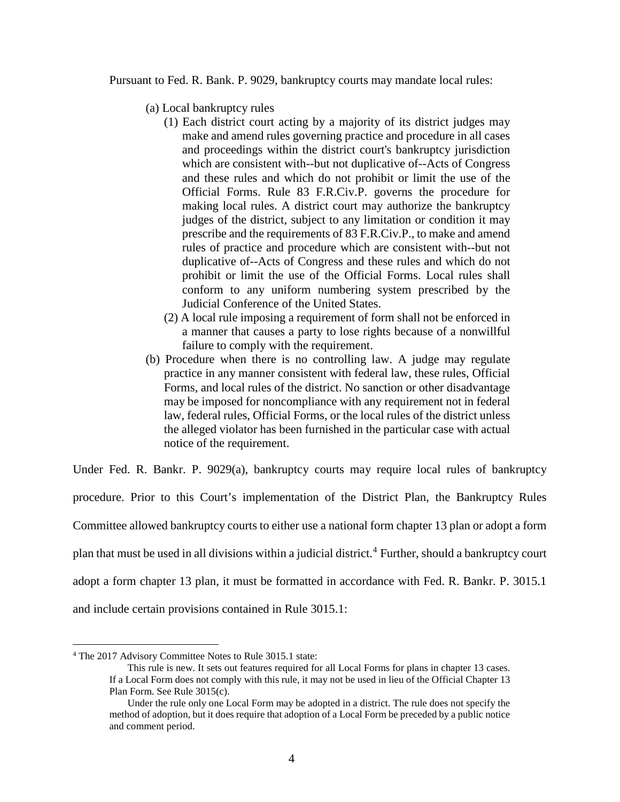Pursuant to Fed. R. Bank. P. 9029, bankruptcy courts may mandate local rules:

- (a) Local bankruptcy rules
	- (1) Each district court acting by a majority of its district judges may make and amend rules governing practice and procedure in all cases and proceedings within the district court's bankruptcy jurisdiction which are consistent with--but not duplicative of--Acts of Congress and these rules and which do not prohibit or limit the use of the Official Forms. Rule 83 [F.R.Civ.P.](https://1.next.westlaw.com/Link/Document/FullText?findType=L&pubNum=1000600&cite=USFRCPR83&originatingDoc=ND2D7F9B0B89F11D8983DF34406B5929B&refType=LQ&originationContext=document&transitionType=DocumentItem&contextData=(sc.Category)) governs the procedure for making local rules. A district court may authorize the bankruptcy judges of the district, subject to any limitation or condition it may prescribe and the requirements of 83 [F.R.Civ.P.](https://1.next.westlaw.com/Link/Document/FullText?findType=L&pubNum=1000600&cite=USFRCPR83&originatingDoc=ND2D7F9B0B89F11D8983DF34406B5929B&refType=LQ&originationContext=document&transitionType=DocumentItem&contextData=(sc.Category)), to make and amend rules of practice and procedure which are consistent with--but not duplicative of--Acts of Congress and these rules and which do not prohibit or limit the use of the Official Forms. Local rules shall conform to any uniform numbering system prescribed by the Judicial Conference of the United States.
	- (2) A local rule imposing a requirement of form shall not be enforced in a manner that causes a party to lose rights because of a nonwillful failure to comply with the requirement.
- (b) Procedure when there is no controlling law. A judge may regulate practice in any manner consistent with federal law, these rules, Official Forms, and local rules of the district. No sanction or other disadvantage may be imposed for noncompliance with any requirement not in federal law, federal rules, Official Forms, or the local rules of the district unless the alleged violator has been furnished in the particular case with actual notice of the requirement.

Under Fed. R. Bankr. P. 9029(a), bankruptcy courts may require local rules of bankruptcy procedure. Prior to this Court's implementation of the District Plan, the Bankruptcy Rules Committee allowed bankruptcy courts to either use a national form chapter 13 plan or adopt a form plan that must be used in all divisions within a judicial district.<sup>[4](#page-3-0)</sup> Further, should a bankruptcy court adopt a form chapter 13 plan, it must be formatted in accordance with Fed. R. Bankr. P. 3015.1 and include certain provisions contained in Rule 3015.1:

<span id="page-3-0"></span> <sup>4</sup> The <sup>2017</sup> Advisory Committee Notes to Rule 3015.1 state:

This rule is new. It sets out features required for all Local Forms for plans in chapter 13 cases. If a Local Form does not comply with this rule, it may not be used in lieu of the Official Chapter 13 Plan Form. See Rule 3015(c).

Under the rule only one Local Form may be adopted in a district. The rule does not specify the method of adoption, but it does require that adoption of a Local Form be preceded by a public notice and comment period.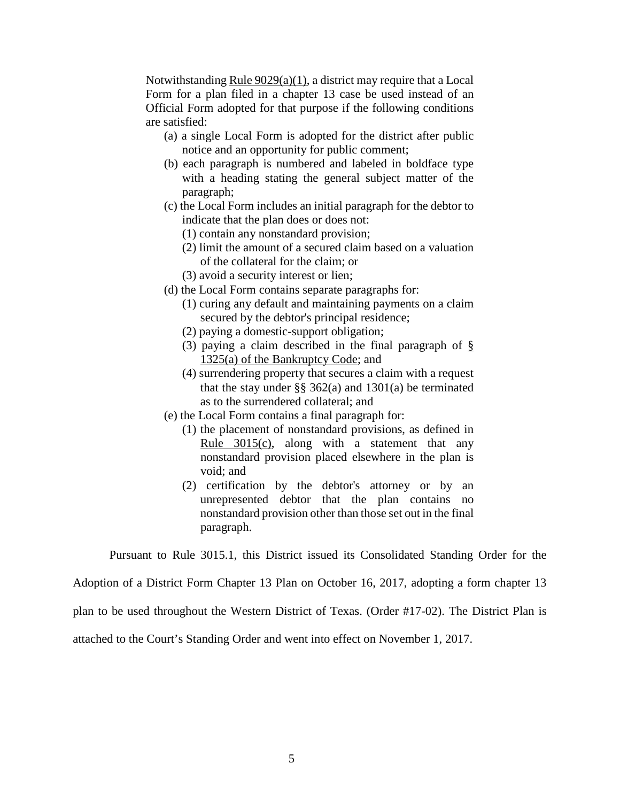Notwithstanding Rule [9029\(a\)\(1\),](https://1.next.westlaw.com/Link/Document/FullText?findType=L&pubNum=1000611&cite=USFRBPR9029&originatingDoc=NEF6334102F7311E79E73DE9BD41E48D1&refType=RB&originationContext=document&transitionType=DocumentItem&contextData=(sc.Category)#co_pp_7b9b000044381) a district may require that a Local Form for a plan filed in a chapter 13 case be used instead of an Official Form adopted for that purpose if the following conditions are satisfied:

- (a) a single Local Form is adopted for the district after public notice and an opportunity for public comment;
- (b) each paragraph is numbered and labeled in boldface type with a heading stating the general subject matter of the paragraph;
- (c) the Local Form includes an initial paragraph for the debtor to indicate that the plan does or does not:
	- (1) contain any nonstandard provision;
	- (2) limit the amount of a secured claim based on a valuation of the collateral for the claim; or
	- (3) avoid a security interest or lien;
- (d) the Local Form contains separate paragraphs for:
	- (1) curing any default and maintaining payments on a claim secured by the debtor's principal residence;
	- (2) paying a domestic-support obligation;
	- (3) paying a claim described in the final paragraph of [§](https://1.next.westlaw.com/Link/Document/FullText?findType=L&pubNum=1000611&cite=11USCAS1325&originatingDoc=NEF6334102F7311E79E73DE9BD41E48D1&refType=RB&originationContext=document&transitionType=DocumentItem&contextData=(sc.Category)#co_pp_8b3b0000958a4) 1325(a) of the [Bankruptcy](https://1.next.westlaw.com/Link/Document/FullText?findType=L&pubNum=1000611&cite=11USCAS1325&originatingDoc=NEF6334102F7311E79E73DE9BD41E48D1&refType=RB&originationContext=document&transitionType=DocumentItem&contextData=(sc.Category)#co_pp_8b3b0000958a4) Code; and
	- (4) surrendering property that secures a claim with a request that the stay under  $\S$ § 362(a) and 1301(a) be terminated as to the surrendered collateral; and
- (e) the Local Form contains a final paragraph for:
	- (1) the placement of nonstandard provisions, as defined in Rule [3015\(c\),](https://1.next.westlaw.com/Link/Document/FullText?findType=L&pubNum=1000611&cite=USFRBPR3015&originatingDoc=NEF6334102F7311E79E73DE9BD41E48D1&refType=RB&originationContext=document&transitionType=DocumentItem&contextData=(sc.Category)#co_pp_4b24000003ba5) along with a statement that any nonstandard provision placed elsewhere in the plan is void; and
	- (2) certification by the debtor's attorney or by an unrepresented debtor that the plan contains no nonstandard provision other than those set out in the final paragraph.

Pursuant to Rule 3015.1, this District issued its Consolidated Standing Order for the

Adoption of a District Form Chapter 13 Plan on October 16, 2017, adopting a form chapter 13

plan to be used throughout the Western District of Texas. (Order #17-02). The District Plan is

attached to the Court's Standing Order and went into effect on November 1, 2017.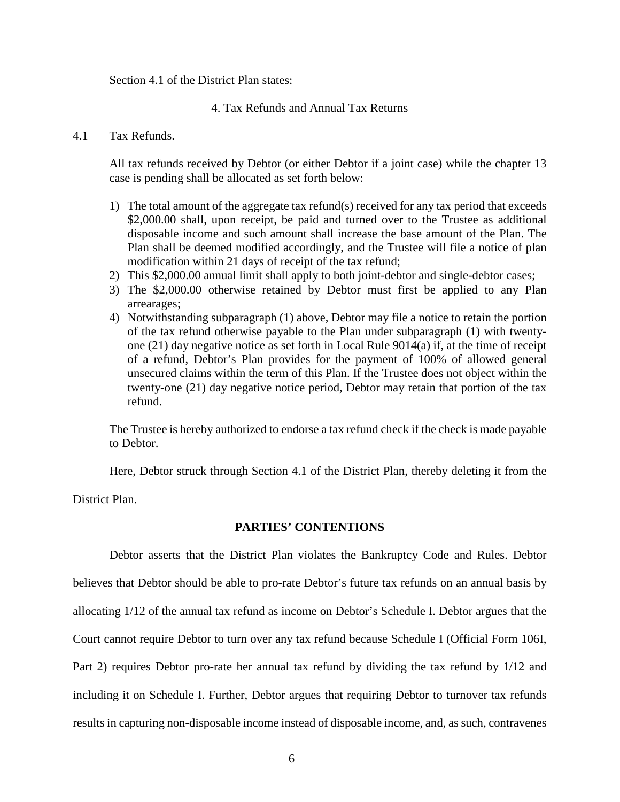Section 4.1 of the District Plan states:

4. Tax Refunds and Annual Tax Returns

## 4.1 Tax Refunds.

All tax refunds received by Debtor (or either Debtor if a joint case) while the chapter 13 case is pending shall be allocated as set forth below:

- 1) The total amount of the aggregate tax refund(s) received for any tax period that exceeds \$2,000.00 shall, upon receipt, be paid and turned over to the Trustee as additional disposable income and such amount shall increase the base amount of the Plan. The Plan shall be deemed modified accordingly, and the Trustee will file a notice of plan modification within 21 days of receipt of the tax refund;
- 2) This \$2,000.00 annual limit shall apply to both joint-debtor and single-debtor cases;
- 3) The \$2,000.00 otherwise retained by Debtor must first be applied to any Plan arrearages;
- 4) Notwithstanding subparagraph (1) above, Debtor may file a notice to retain the portion of the tax refund otherwise payable to the Plan under subparagraph (1) with twentyone (21) day negative notice as set forth in Local Rule 9014(a) if, at the time of receipt of a refund, Debtor's Plan provides for the payment of 100% of allowed general unsecured claims within the term of this Plan. If the Trustee does not object within the twenty-one (21) day negative notice period, Debtor may retain that portion of the tax refund.

The Trustee is hereby authorized to endorse a tax refund check if the check is made payable to Debtor.

Here, Debtor struck through Section 4.1 of the District Plan, thereby deleting it from the

District Plan.

## **PARTIES' CONTENTIONS**

Debtor asserts that the District Plan violates the Bankruptcy Code and Rules. Debtor believes that Debtor should be able to pro-rate Debtor's future tax refunds on an annual basis by allocating 1/12 of the annual tax refund as income on Debtor's Schedule I. Debtor argues that the Court cannot require Debtor to turn over any tax refund because Schedule I (Official Form 106I, Part 2) requires Debtor pro-rate her annual tax refund by dividing the tax refund by 1/12 and including it on Schedule I. Further, Debtor argues that requiring Debtor to turnover tax refunds results in capturing non-disposable income instead of disposable income, and, as such, contravenes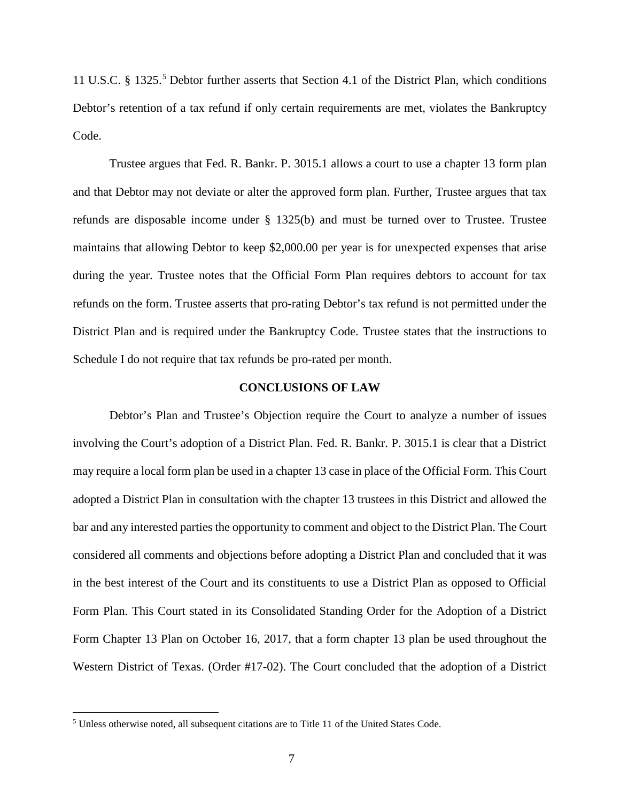11 U.S.C. § 132[5](#page-6-0).<sup>5</sup> Debtor further asserts that Section 4.1 of the District Plan, which conditions Debtor's retention of a tax refund if only certain requirements are met, violates the Bankruptcy Code.

Trustee argues that Fed. R. Bankr. P. 3015.1 allows a court to use a chapter 13 form plan and that Debtor may not deviate or alter the approved form plan. Further, Trustee argues that tax refunds are disposable income under § 1325(b) and must be turned over to Trustee. Trustee maintains that allowing Debtor to keep \$2,000.00 per year is for unexpected expenses that arise during the year. Trustee notes that the Official Form Plan requires debtors to account for tax refunds on the form. Trustee asserts that pro-rating Debtor's tax refund is not permitted under the District Plan and is required under the Bankruptcy Code. Trustee states that the instructions to Schedule I do not require that tax refunds be pro-rated per month.

### **CONCLUSIONS OF LAW**

Debtor's Plan and Trustee's Objection require the Court to analyze a number of issues involving the Court's adoption of a District Plan. Fed. R. Bankr. P. 3015.1 is clear that a District may require a local form plan be used in a chapter 13 case in place of the Official Form. This Court adopted a District Plan in consultation with the chapter 13 trustees in this District and allowed the bar and any interested parties the opportunity to comment and object to the District Plan. The Court considered all comments and objections before adopting a District Plan and concluded that it was in the best interest of the Court and its constituents to use a District Plan as opposed to Official Form Plan. This Court stated in its Consolidated Standing Order for the Adoption of a District Form Chapter 13 Plan on October 16, 2017, that a form chapter 13 plan be used throughout the Western District of Texas. (Order #17-02). The Court concluded that the adoption of a District

<span id="page-6-0"></span> <sup>5</sup> Unless otherwise noted, all subsequent citations are to Title <sup>11</sup> of the United States Code.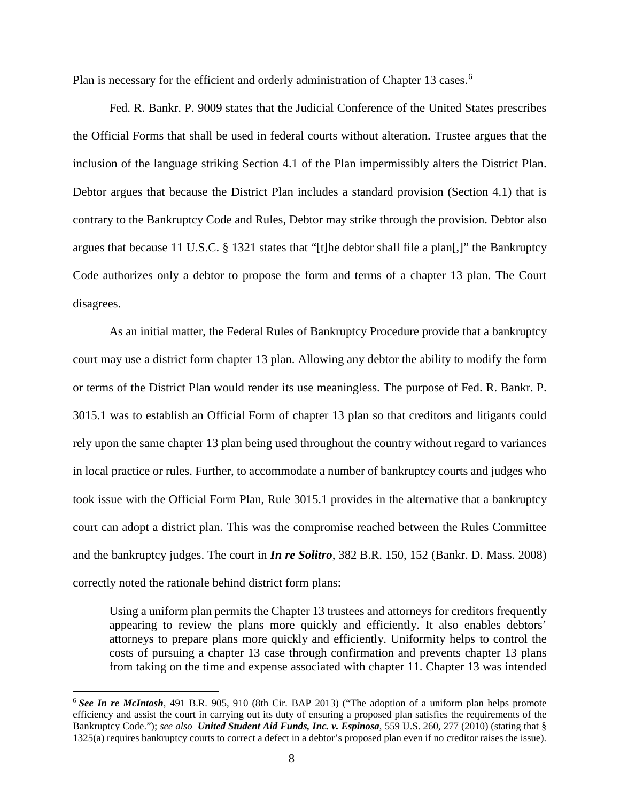Plan is necessary for the efficient and orderly administration of Chapter 13 cases.<sup>[6](#page-7-0)</sup>

Fed. R. Bankr. P. 9009 states that the Judicial Conference of the United States prescribes the Official Forms that shall be used in federal courts without alteration. Trustee argues that the inclusion of the language striking Section 4.1 of the Plan impermissibly alters the District Plan. Debtor argues that because the District Plan includes a standard provision (Section 4.1) that is contrary to the Bankruptcy Code and Rules, Debtor may strike through the provision. Debtor also argues that because 11 U.S.C. § 1321 states that "[t]he debtor shall file a plan[,]" the Bankruptcy Code authorizes only a debtor to propose the form and terms of a chapter 13 plan. The Court disagrees.

As an initial matter, the Federal Rules of Bankruptcy Procedure provide that a bankruptcy court may use a district form chapter 13 plan. Allowing any debtor the ability to modify the form or terms of the District Plan would render its use meaningless. The purpose of Fed. R. Bankr. P. 3015.1 was to establish an Official Form of chapter 13 plan so that creditors and litigants could rely upon the same chapter 13 plan being used throughout the country without regard to variances in local practice or rules. Further, to accommodate a number of bankruptcy courts and judges who took issue with the Official Form Plan, Rule 3015.1 provides in the alternative that a bankruptcy court can adopt a district plan. This was the compromise reached between the Rules Committee and the bankruptcy judges. The court in *In re Solitro*, 382 B.R. 150, 152 (Bankr. D. Mass. 2008) correctly noted the rationale behind district form plans:

Using a uniform plan permits the Chapter 13 trustees and attorneys for creditors frequently appearing to review the plans more quickly and efficiently. It also enables debtors' attorneys to prepare plans more quickly and efficiently. Uniformity helps to control the costs of pursuing a chapter 13 case through confirmation and prevents chapter 13 plans from taking on the time and expense associated with chapter 11. Chapter 13 was intended

<span id="page-7-0"></span> <sup>6</sup> *See In re McIntosh*, <sup>491</sup> B.R. 905, <sup>910</sup> (8th Cir. BAP 2013) ("The adoption of <sup>a</sup> uniform plan helps promote efficiency and assist the court in carrying out its duty of ensuring a proposed plan satisfies the requirements of the Bankruptcy Code."); *see also United Student Aid Funds, Inc. v. Espinosa*, 559 U.S. 260, 277 (2010) (stating that § 1325(a) requires bankruptcy courts to correct a defect in a debtor's proposed plan even if no creditor raises the issue).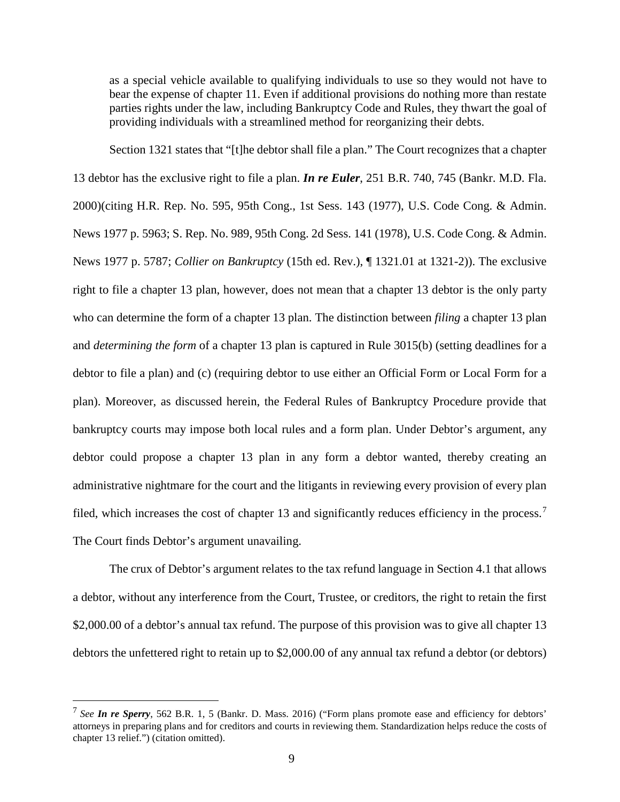as a special vehicle available to qualifying individuals to use so they would not have to bear the expense of chapter 11. Even if additional provisions do nothing more than restate parties rights under the law, including Bankruptcy Code and Rules, they thwart the goal of providing individuals with a streamlined method for reorganizing their debts.

Section 1321 states that "[t]he debtor shall file a plan." The Court recognizes that a chapter 13 debtor has the exclusive right to file a plan. *In re Euler*, 251 B.R. 740, 745 (Bankr. M.D. Fla. 2000)(citing H.R. Rep. No. 595, 95th Cong., 1st Sess. 143 (1977), U.S. Code Cong. & Admin. News 1977 p. 5963; S. Rep. No. 989, 95th Cong. 2d Sess. 141 (1978), U.S. Code Cong. & Admin. News 1977 p. 5787; *Collier on Bankruptcy* (15th ed. Rev.), ¶ 1321.01 at 1321-2)). The exclusive right to file a chapter 13 plan, however, does not mean that a chapter 13 debtor is the only party who can determine the form of a chapter 13 plan. The distinction between *filing* a chapter 13 plan and *determining the form* of a chapter 13 plan is captured in Rule 3015(b) (setting deadlines for a debtor to file a plan) and (c) (requiring debtor to use either an Official Form or Local Form for a plan). Moreover, as discussed herein, the Federal Rules of Bankruptcy Procedure provide that bankruptcy courts may impose both local rules and a form plan. Under Debtor's argument, any debtor could propose a chapter 13 plan in any form a debtor wanted, thereby creating an administrative nightmare for the court and the litigants in reviewing every provision of every plan filed, which increases the cost of chapter 13 and significantly reduces efficiency in the process.<sup>[7](#page-8-0)</sup> The Court finds Debtor's argument unavailing.

The crux of Debtor's argument relates to the tax refund language in Section 4.1 that allows a debtor, without any interference from the Court, Trustee, or creditors, the right to retain the first \$2,000.00 of a debtor's annual tax refund. The purpose of this provision was to give all chapter 13 debtors the unfettered right to retain up to \$2,000.00 of any annual tax refund a debtor (or debtors)

<span id="page-8-0"></span> <sup>7</sup> *See In re Sperry*, <sup>562</sup> B.R. 1, <sup>5</sup> (Bankr. D. Mass. 2016) ("Form plans promote ease and efficiency for debtors' attorneys in preparing plans and for creditors and courts in reviewing them. Standardization helps reduce the costs of chapter 13 relief.") (citation omitted).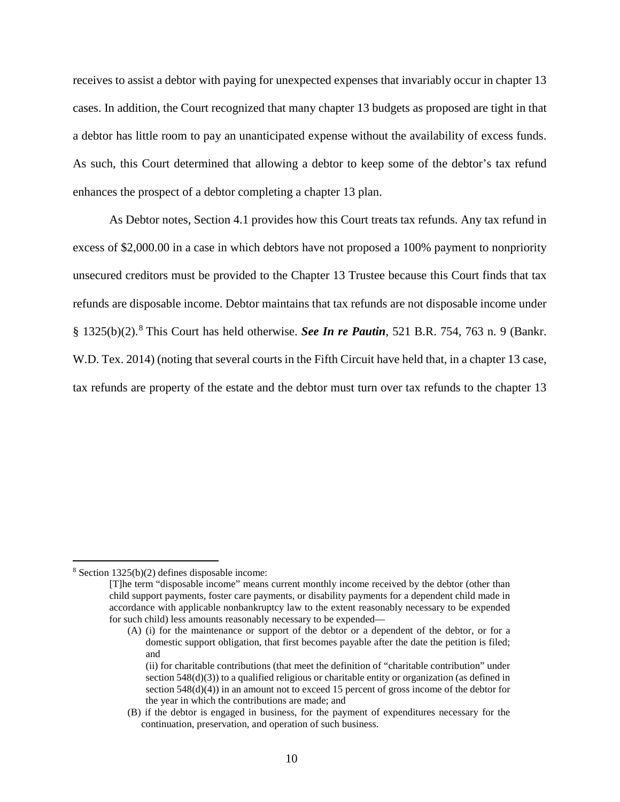receives to assist a debtor with paying for unexpected expenses that invariably occur in chapter 13 cases. In addition, the Court recognized that many chapter 13 budgets as proposed are tight in that a debtor has little room to pay an unanticipated expense without the availability of excess funds. As such, this Court determined that allowing a debtor to keep some of the debtor's tax refund enhances the prospect of a debtor completing a chapter 13 plan.

As Debtor notes, Section 4.1 provides how this Court treats tax refunds. Any tax refund in excess of \$2,000.00 in a case in which debtors have not proposed a 100% payment to nonpriority unsecured creditors must be provided to the Chapter 13 Trustee because this Court finds that tax refunds are disposable income. Debtor maintains that tax refunds are not disposable income under § 1325(b)(2).[8](#page-9-0) This Court has held otherwise. *See In re Pautin*, 521 B.R. 754, 763 n. 9 (Bankr. W.D. Tex. 2014) (noting that several courts in the Fifth Circuit have held that, in a chapter 13 case, tax refunds are property of the estate and the debtor must turn over tax refunds to the chapter 13

<span id="page-9-0"></span> <sup>8</sup> Section 1325(b)(2) defines disposable income:

<sup>[</sup>T]he term "disposable income" means current monthly income received by the debtor (other than child support payments, foster care payments, or disability payments for a dependent child made in accordance with applicable nonbankruptcy law to the extent reasonably necessary to be expended for such child) less amounts reasonably necessary to be expended—

<sup>(</sup>A) (i) for the maintenance or support of the debtor or a dependent of the debtor, or for a domestic support obligation, that first becomes payable after the date the petition is filed; and

<sup>(</sup>ii) for charitable contributions (that meet the definition of "charitable contribution" under section 548(d)(3)) to a qualified religious or charitable entity or organization (as defined in section 548(d)(4)) in an amount not to exceed 15 percent of gross income of the debtor for the year in which the contributions are made; and

<sup>(</sup>B) if the debtor is engaged in business, for the payment of expenditures necessary for the continuation, preservation, and operation of such business.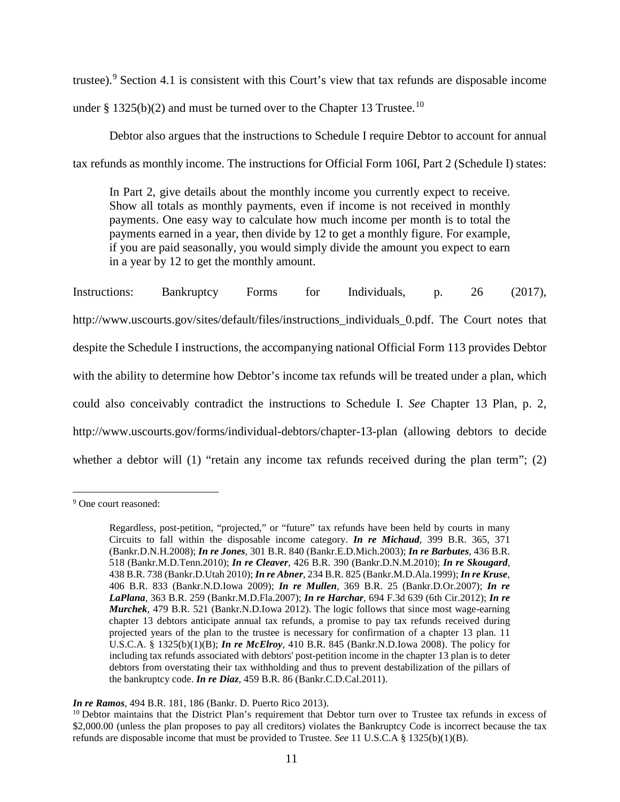trustee).[9](#page-10-0) Section 4.1 is consistent with this Court's view that tax refunds are disposable income under § 1325(b)(2) and must be turned over to the Chapter 13 Trustee.<sup>10</sup>

Debtor also argues that the instructions to Schedule I require Debtor to account for annual tax refunds as monthly income. The instructions for Official Form 106I, Part 2 (Schedule I) states:

In Part 2, give details about the monthly income you currently expect to receive. Show all totals as monthly payments, even if income is not received in monthly payments. One easy way to calculate how much income per month is to total the payments earned in a year, then divide by 12 to get a monthly figure. For example, if you are paid seasonally, you would simply divide the amount you expect to earn in a year by 12 to get the monthly amount.

Instructions: Bankruptcy Forms for Individuals, p. 26 (2017), http://www.uscourts.gov/sites/default/files/instructions individuals 0.pdf. The Court notes that despite the Schedule I instructions, the accompanying national Official Form 113 provides Debtor with the ability to determine how Debtor's income tax refunds will be treated under a plan, which could also conceivably contradict the instructions to Schedule I. *See* Chapter 13 Plan, p. 2, http://www.uscourts.gov/forms/individual-debtors/chapter-13-plan (allowing debtors to decide whether a debtor will  $(1)$  "retain any income tax refunds received during the plan term";  $(2)$ 

<span id="page-10-0"></span> <sup>9</sup> One court reasoned:

Regardless, post-petition, "projected," or "future" tax refunds have been held by courts in many Circuits to fall within the disposable income category. *In re [Michaud](https://1.next.westlaw.com/Link/Document/FullText?findType=Y&serNum=2017827451&pubNum=0000164&originatingDoc=I7a78de53cd7711e28501bda794601919&refType=RP&fi=co_pp_sp_164_371&originationContext=document&transitionType=DocumentItem&contextData=(sc.Search)#co_pp_sp_164_371),* 399 B.R. 365, 371 [\(Bankr.D.N.H.2008\);](https://1.next.westlaw.com/Link/Document/FullText?findType=Y&serNum=2017827451&pubNum=0000164&originatingDoc=I7a78de53cd7711e28501bda794601919&refType=RP&fi=co_pp_sp_164_371&originationContext=document&transitionType=DocumentItem&contextData=(sc.Search)#co_pp_sp_164_371) *In re Jones,* 301 B.R. 840 [\(Bankr.E.D.Mich.2003\);](https://1.next.westlaw.com/Link/Document/FullText?findType=Y&serNum=2003914022&pubNum=0000164&originatingDoc=I7a78de53cd7711e28501bda794601919&refType=RP&originationContext=document&transitionType=DocumentItem&contextData=(sc.Search)) *In re [Barbutes](https://1.next.westlaw.com/Link/Document/FullText?findType=Y&serNum=2022966037&pubNum=0000164&originatingDoc=I7a78de53cd7711e28501bda794601919&refType=RP&originationContext=document&transitionType=DocumentItem&contextData=(sc.Search)),* 436 B.R. 518 [\(Bankr.M.D.Tenn.2010\);](https://1.next.westlaw.com/Link/Document/FullText?findType=Y&serNum=2022966037&pubNum=0000164&originatingDoc=I7a78de53cd7711e28501bda794601919&refType=RP&originationContext=document&transitionType=DocumentItem&contextData=(sc.Search)) *In re Cleaver,* 426 B.R. 390 [\(Bankr.D.N.M.2010\);](https://1.next.westlaw.com/Link/Document/FullText?findType=Y&serNum=2021613895&pubNum=0000164&originatingDoc=I7a78de53cd7711e28501bda794601919&refType=RP&originationContext=document&transitionType=DocumentItem&contextData=(sc.Search)) *In re [Skougard](https://1.next.westlaw.com/Link/Document/FullText?findType=Y&serNum=2023607670&pubNum=0000164&originatingDoc=I7a78de53cd7711e28501bda794601919&refType=RP&originationContext=document&transitionType=DocumentItem&contextData=(sc.Search)),* 438 B.R. 738 [\(Bankr.D.Utah](https://1.next.westlaw.com/Link/Document/FullText?findType=Y&serNum=2023607670&pubNum=0000164&originatingDoc=I7a78de53cd7711e28501bda794601919&refType=RP&originationContext=document&transitionType=DocumentItem&contextData=(sc.Search)) 2010); *In re Abner,* 234 B.R. 825 [\(Bankr.M.D.Ala.1999\);](https://1.next.westlaw.com/Link/Document/FullText?findType=Y&serNum=1999143321&pubNum=0000164&originatingDoc=I7a78de53cd7711e28501bda794601919&refType=RP&originationContext=document&transitionType=DocumentItem&contextData=(sc.Search)) *In re [Kruse](https://1.next.westlaw.com/Link/Document/FullText?findType=Y&serNum=2019117652&pubNum=0000164&originatingDoc=I7a78de53cd7711e28501bda794601919&refType=RP&originationContext=document&transitionType=DocumentItem&contextData=(sc.Search)),* 406 B.R. 833 [\(Bankr.N.D.Iowa](https://1.next.westlaw.com/Link/Document/FullText?findType=Y&serNum=2019117652&pubNum=0000164&originatingDoc=I7a78de53cd7711e28501bda794601919&refType=RP&originationContext=document&transitionType=DocumentItem&contextData=(sc.Search)) 2009); *In re Mullen,* 369 B.R. 25 [\(Bankr.D.Or.2007\);](https://1.next.westlaw.com/Link/Document/FullText?findType=Y&serNum=2012282463&pubNum=0000164&originatingDoc=I7a78de53cd7711e28501bda794601919&refType=RP&originationContext=document&transitionType=DocumentItem&contextData=(sc.Search)) *[In](https://1.next.westlaw.com/Link/Document/FullText?findType=Y&serNum=2011431581&pubNum=0000164&originatingDoc=I7a78de53cd7711e28501bda794601919&refType=RP&originationContext=document&transitionType=DocumentItem&contextData=(sc.Search)) re LaPlana,* 363 B.R. 259 [\(Bankr.M.D.Fla.2007\);](https://1.next.westlaw.com/Link/Document/FullText?findType=Y&serNum=2011431581&pubNum=0000164&originatingDoc=I7a78de53cd7711e28501bda794601919&refType=RP&originationContext=document&transitionType=DocumentItem&contextData=(sc.Search)) *In re Harchar,* 694 F.3d 639 (6th [Cir.2012\);](https://1.next.westlaw.com/Link/Document/FullText?findType=Y&serNum=2028594933&pubNum=0000506&originatingDoc=I7a78de53cd7711e28501bda794601919&refType=RP&originationContext=document&transitionType=DocumentItem&contextData=(sc.Search)) *[In](https://1.next.westlaw.com/Link/Document/FullText?findType=Y&serNum=2028230975&pubNum=0000164&originatingDoc=I7a78de53cd7711e28501bda794601919&refType=RP&originationContext=document&transitionType=DocumentItem&contextData=(sc.Search)) re Murchek,* 479 B.R. 521 [\(Bankr.N.D.Iowa](https://1.next.westlaw.com/Link/Document/FullText?findType=Y&serNum=2028230975&pubNum=0000164&originatingDoc=I7a78de53cd7711e28501bda794601919&refType=RP&originationContext=document&transitionType=DocumentItem&contextData=(sc.Search)) 2012). The logic follows that since most wage-earning chapter 13 debtors anticipate annual tax refunds, a promise to pay tax refunds received during projected years of the plan to the trustee is necessary for confirmation of a chapter 13 plan. [11](https://1.next.westlaw.com/Link/Document/FullText?findType=L&pubNum=1000546&cite=11USCAS1325&originatingDoc=I7a78de53cd7711e28501bda794601919&refType=RB&originationContext=document&transitionType=DocumentItem&contextData=(sc.Search)#co_pp_2a4b0000e5562) U.S.C.A. § [1325\(b\)\(1\)\(B\);](https://1.next.westlaw.com/Link/Document/FullText?findType=L&pubNum=1000546&cite=11USCAS1325&originatingDoc=I7a78de53cd7711e28501bda794601919&refType=RB&originationContext=document&transitionType=DocumentItem&contextData=(sc.Search)#co_pp_2a4b0000e5562) *In re McElroy,* 410 B.R. 845 [\(Bankr.N.D.Iowa](https://1.next.westlaw.com/Link/Document/FullText?findType=Y&serNum=2017595982&pubNum=0000164&originatingDoc=I7a78de53cd7711e28501bda794601919&refType=RP&originationContext=document&transitionType=DocumentItem&contextData=(sc.Search)) 2008). The policy for including tax refunds associated with debtors' post-petition income in the chapter 13 plan is to deter debtors from overstating their tax withholding and thus to prevent destabilization of the pillars of the bankruptcy code. *In re Diaz,* 459 B.R. 86 [\(Bankr.C.D.Cal.2011\).](https://1.next.westlaw.com/Link/Document/FullText?findType=Y&serNum=2026294454&pubNum=0000164&originatingDoc=I7a78de53cd7711e28501bda794601919&refType=RP&originationContext=document&transitionType=DocumentItem&contextData=(sc.Search))

*In re Ramos*, 494 B.R. 181, 186 (Bankr. D. Puerto Rico 2013).

<span id="page-10-1"></span> $10$  Debtor maintains that the District Plan's requirement that Debtor turn over to Trustee tax refunds in excess of \$2,000.00 (unless the plan proposes to pay all creditors) violates the Bankruptcy Code is incorrect because the tax refunds are disposable income that must be provided to Trustee. *See* 11 U.S.C.A § 1325(b)(1)(B).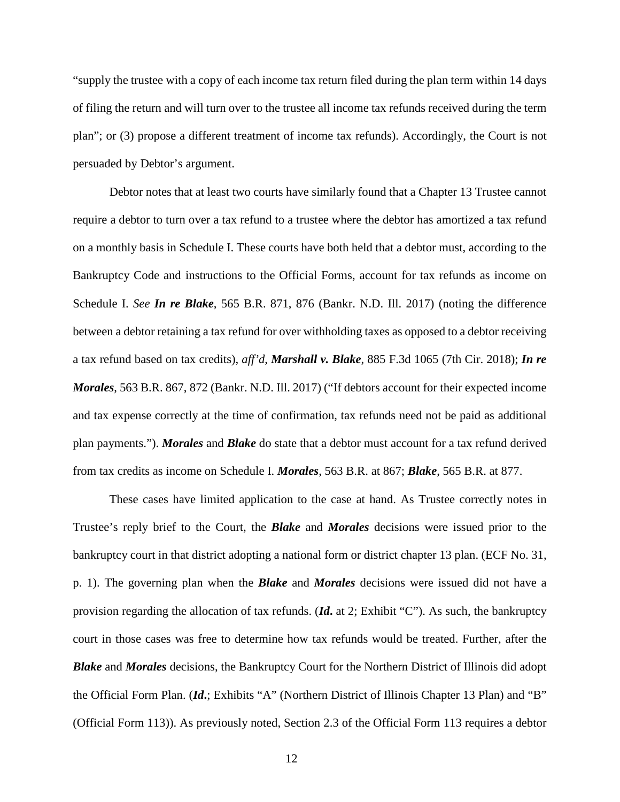"supply the trustee with a copy of each income tax return filed during the plan term within 14 days of filing the return and will turn over to the trustee all income tax refunds received during the term plan"; or (3) propose a different treatment of income tax refunds). Accordingly, the Court is not persuaded by Debtor's argument.

Debtor notes that at least two courts have similarly found that a Chapter 13 Trustee cannot require a debtor to turn over a tax refund to a trustee where the debtor has amortized a tax refund on a monthly basis in Schedule I. These courts have both held that a debtor must, according to the Bankruptcy Code and instructions to the Official Forms, account for tax refunds as income on Schedule I. *See In re Blake*, 565 B.R. 871, 876 (Bankr. N.D. Ill. 2017) (noting the difference between a debtor retaining a tax refund for over withholding taxes as opposed to a debtor receiving a tax refund based on tax credits), *aff'd*, *Marshall v. Blake*, 885 F.3d 1065 (7th Cir. 2018); *In re Morales*, 563 B.R. 867, 872 (Bankr. N.D. Ill. 2017) ("If debtors account for their expected income and tax expense correctly at the time of confirmation, tax refunds need not be paid as additional plan payments."). *Morales* and *Blake* do state that a debtor must account for a tax refund derived from tax credits as income on Schedule I. *Morales*, 563 B.R. at 867; *Blake*, 565 B.R. at 877.

These cases have limited application to the case at hand. As Trustee correctly notes in Trustee's reply brief to the Court, the *Blake* and *Morales* decisions were issued prior to the bankruptcy court in that district adopting a national form or district chapter 13 plan. (ECF No. 31, p. 1). The governing plan when the *Blake* and *Morales* decisions were issued did not have a provision regarding the allocation of tax refunds. (*Id***.** at 2; Exhibit "C"). As such, the bankruptcy court in those cases was free to determine how tax refunds would be treated. Further, after the *Blake* and *Morales* decisions, the Bankruptcy Court for the Northern District of Illinois did adopt the Official Form Plan. (*Id***.**; Exhibits "A" (Northern District of Illinois Chapter 13 Plan) and "B" (Official Form 113)). As previously noted, Section 2.3 of the Official Form 113 requires a debtor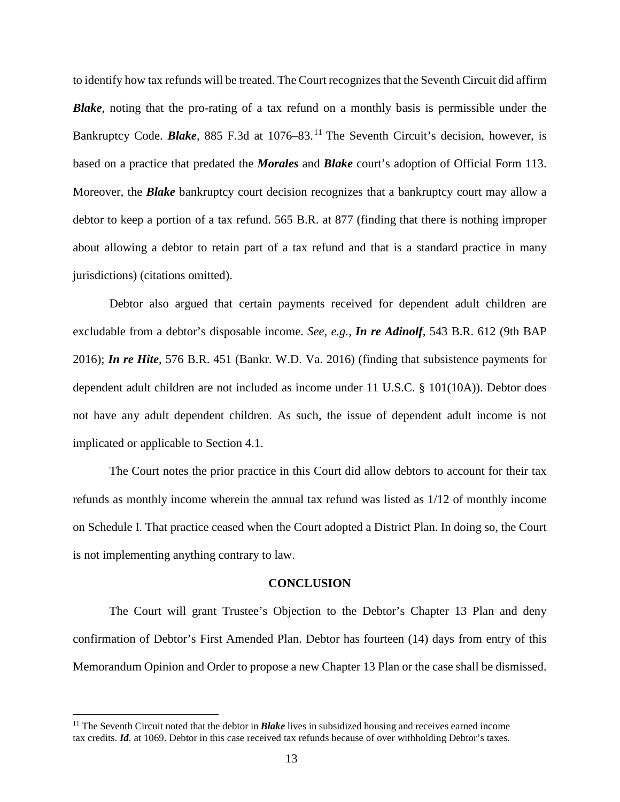to identify how tax refunds will be treated. The Court recognizesthat the Seventh Circuit did affirm *Blake*, noting that the pro-rating of a tax refund on a monthly basis is permissible under the Bankruptcy Code. **Blake**, 885 F.3d at 1076–83.<sup>[11](#page-12-0)</sup> The Seventh Circuit's decision, however, is based on a practice that predated the *Morales* and *Blake* court's adoption of Official Form 113. Moreover, the *Blake* bankruptcy court decision recognizes that a bankruptcy court may allow a debtor to keep a portion of a tax refund. 565 B.R. at 877 (finding that there is nothing improper about allowing a debtor to retain part of a tax refund and that is a standard practice in many jurisdictions) (citations omitted).

Debtor also argued that certain payments received for dependent adult children are excludable from a debtor's disposable income. *See, e.g.*, *In re Adinolf*, 543 B.R. 612 (9th BAP 2016); *In re Hite*, 576 B.R. 451 (Bankr. W.D. Va. 2016) (finding that subsistence payments for dependent adult children are not included as income under 11 U.S.C. § 101(10A)). Debtor does not have any adult dependent children. As such, the issue of dependent adult income is not implicated or applicable to Section 4.1.

The Court notes the prior practice in this Court did allow debtors to account for their tax refunds as monthly income wherein the annual tax refund was listed as 1/12 of monthly income on Schedule I. That practice ceased when the Court adopted a District Plan. In doing so, the Court is not implementing anything contrary to law.

#### **CONCLUSION**

The Court will grant Trustee's Objection to the Debtor's Chapter 13 Plan and deny confirmation of Debtor's First Amended Plan. Debtor has fourteen (14) days from entry of this Memorandum Opinion and Order to propose a new Chapter 13 Plan or the case shall be dismissed.

<span id="page-12-0"></span> <sup>11</sup> The Seventh Circuit noted that the debtor in *Blake* lives in subsidized housing and receives earned income tax credits. *Id*. at 1069. Debtor in this case received tax refunds because of over withholding Debtor's taxes.